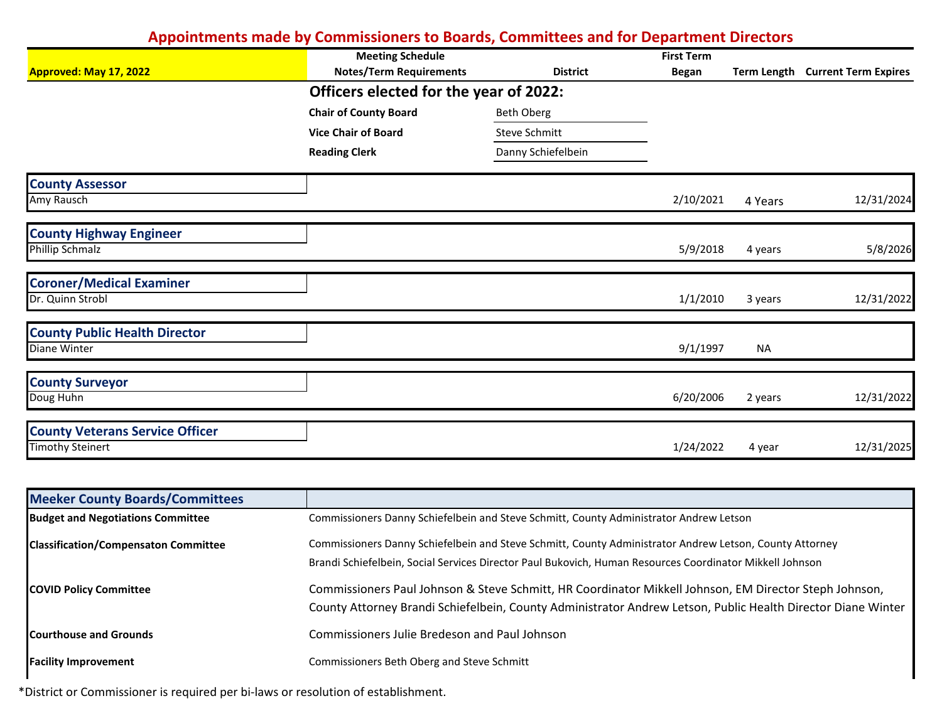|                                        | <b>Meeting Schedule</b><br><b>Notes/Term Requirements</b> | <b>District</b>    | <b>First Term</b> |           | Term Length Current Term Expires |
|----------------------------------------|-----------------------------------------------------------|--------------------|-------------------|-----------|----------------------------------|
| Approved: May 17, 2022                 | Officers elected for the year of 2022:                    |                    | <b>Began</b>      |           |                                  |
|                                        | <b>Chair of County Board</b>                              | <b>Beth Oberg</b>  |                   |           |                                  |
|                                        | <b>Vice Chair of Board</b>                                | Steve Schmitt      |                   |           |                                  |
|                                        | <b>Reading Clerk</b>                                      | Danny Schiefelbein |                   |           |                                  |
| <b>County Assessor</b>                 |                                                           |                    |                   |           |                                  |
| Amy Rausch                             |                                                           |                    | 2/10/2021         | 4 Years   | 12/31/2024                       |
| <b>County Highway Engineer</b>         |                                                           |                    |                   |           |                                  |
| <b>Phillip Schmalz</b>                 |                                                           |                    | 5/9/2018          | 4 years   | 5/8/2026                         |
| <b>Coroner/Medical Examiner</b>        |                                                           |                    |                   |           |                                  |
| Dr. Quinn Strobl                       |                                                           |                    | 1/1/2010          | 3 years   | 12/31/2022                       |
| <b>County Public Health Director</b>   |                                                           |                    |                   |           |                                  |
| Diane Winter                           |                                                           |                    | 9/1/1997          | <b>NA</b> |                                  |
| <b>County Surveyor</b>                 |                                                           |                    |                   |           |                                  |
| Doug Huhn                              |                                                           |                    | 6/20/2006         | 2 years   | 12/31/2022                       |
| <b>County Veterans Service Officer</b> |                                                           |                    |                   |           |                                  |
| <b>Timothy Steinert</b>                |                                                           |                    | 1/24/2022         | 4 year    | 12/31/2025                       |

| <b>Meeker County Boards/Committees</b>      |                                                                                                              |
|---------------------------------------------|--------------------------------------------------------------------------------------------------------------|
| <b>Budget and Negotiations Committee</b>    | Commissioners Danny Schiefelbein and Steve Schmitt, County Administrator Andrew Letson                       |
| <b>Classification/Compensaton Committee</b> | Commissioners Danny Schiefelbein and Steve Schmitt, County Administrator Andrew Letson, County Attorney      |
|                                             | Brandi Schiefelbein, Social Services Director Paul Bukovich, Human Resources Coordinator Mikkell Johnson     |
| <b>COVID Policy Committee</b>               | Commissioners Paul Johnson & Steve Schmitt, HR Coordinator Mikkell Johnson, EM Director Steph Johnson,       |
|                                             | County Attorney Brandi Schiefelbein, County Administrator Andrew Letson, Public Health Director Diane Winter |
| <b>Courthouse and Grounds</b>               | Commissioners Julie Bredeson and Paul Johnson                                                                |
| <b>Facility Improvement</b>                 | Commissioners Beth Oberg and Steve Schmitt                                                                   |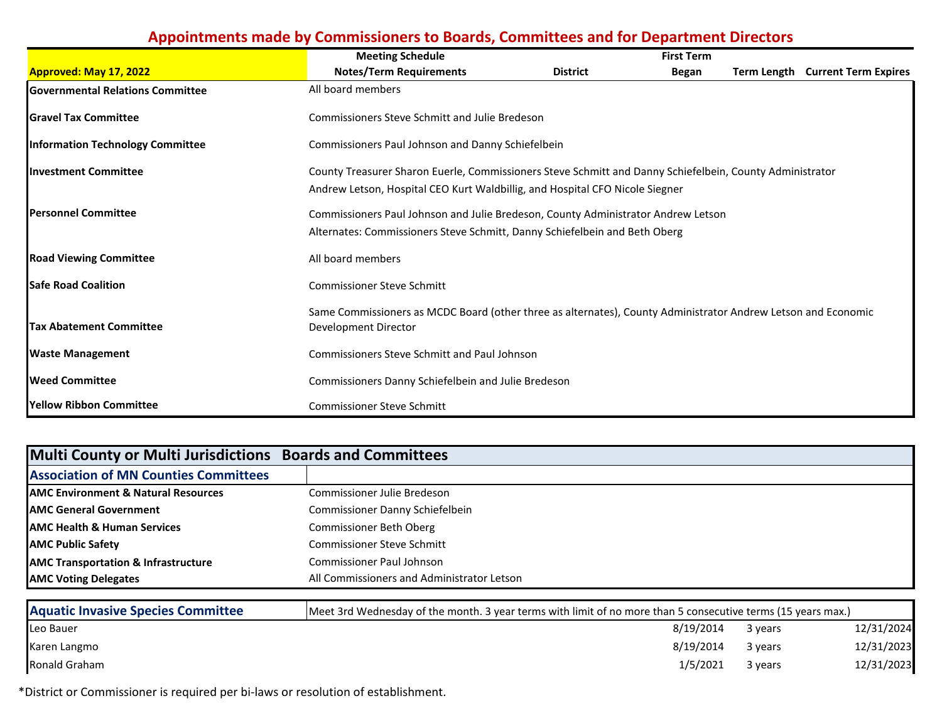|                                         | <b>Meeting Schedule</b>                                                                                                                                                                  |                 | <b>First Term</b> |             |                             |  |  |
|-----------------------------------------|------------------------------------------------------------------------------------------------------------------------------------------------------------------------------------------|-----------------|-------------------|-------------|-----------------------------|--|--|
| <b>Approved: May 17, 2022</b>           | <b>Notes/Term Requirements</b>                                                                                                                                                           | <b>District</b> | Began             | Term Length | <b>Current Term Expires</b> |  |  |
| <b>Governmental Relations Committee</b> | All board members                                                                                                                                                                        |                 |                   |             |                             |  |  |
| <b>IGravel Tax Committee</b>            | <b>Commissioners Steve Schmitt and Julie Bredeson</b>                                                                                                                                    |                 |                   |             |                             |  |  |
| <b>Information Technology Committee</b> | Commissioners Paul Johnson and Danny Schiefelbein                                                                                                                                        |                 |                   |             |                             |  |  |
| <b>Investment Committee</b>             | County Treasurer Sharon Euerle, Commissioners Steve Schmitt and Danny Schiefelbein, County Administrator<br>Andrew Letson, Hospital CEO Kurt Waldbillig, and Hospital CFO Nicole Siegner |                 |                   |             |                             |  |  |
| <b>Personnel Committee</b>              | Commissioners Paul Johnson and Julie Bredeson, County Administrator Andrew Letson<br>Alternates: Commissioners Steve Schmitt, Danny Schiefelbein and Beth Oberg                          |                 |                   |             |                             |  |  |
| <b>Road Viewing Committee</b>           | All board members                                                                                                                                                                        |                 |                   |             |                             |  |  |
| <b>Safe Road Coalition</b>              | <b>Commissioner Steve Schmitt</b>                                                                                                                                                        |                 |                   |             |                             |  |  |
| <b>Tax Abatement Committee</b>          | Same Commissioners as MCDC Board (other three as alternates), County Administrator Andrew Letson and Economic<br>Development Director                                                    |                 |                   |             |                             |  |  |
| <b>Waste Management</b>                 | <b>Commissioners Steve Schmitt and Paul Johnson</b>                                                                                                                                      |                 |                   |             |                             |  |  |
| <b>Weed Committee</b>                   | Commissioners Danny Schiefelbein and Julie Bredeson                                                                                                                                      |                 |                   |             |                             |  |  |
| Yellow Ribbon Committee                 | <b>Commissioner Steve Schmitt</b>                                                                                                                                                        |                 |                   |             |                             |  |  |

| Multi County or Multi Jurisdictions Boards and Committees |                                            |
|-----------------------------------------------------------|--------------------------------------------|
| <b>Association of MN Counties Committees</b>              |                                            |
| <b>AMC Environment &amp; Natural Resources</b>            | Commissioner Julie Bredeson                |
| <b>AMC General Government</b>                             | Commissioner Danny Schiefelbein            |
| <b>AMC Health &amp; Human Services</b>                    | Commissioner Beth Oberg                    |
| <b>AMC Public Safety</b>                                  | <b>Commissioner Steve Schmitt</b>          |
| <b>AMC Transportation &amp; Infrastructure</b>            | <b>Commissioner Paul Johnson</b>           |
| <b>AMC Voting Delegates</b>                               | All Commissioners and Administrator Letson |

| <b>Aquatic Invasive Species Committee</b> | [Meet 3rd Wednesday of the month. 3 year terms with limit of no more than 5 consecutive terms (15 years max.) |         |            |  |  |  |
|-------------------------------------------|---------------------------------------------------------------------------------------------------------------|---------|------------|--|--|--|
| Leo Bauer                                 | 8/19/2014                                                                                                     | 3 years | 12/31/2024 |  |  |  |
| Karen Langmo                              | 8/19/2014                                                                                                     | 3 years | 12/31/2023 |  |  |  |
| Ronald Graham                             | 1/5/2021                                                                                                      | 3 years | 12/31/2023 |  |  |  |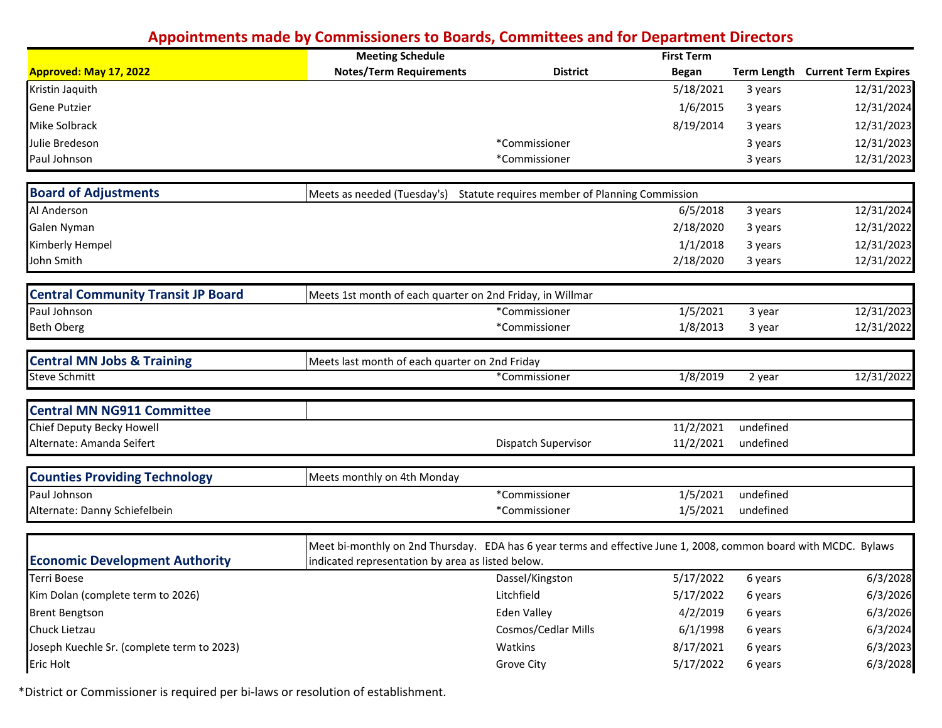|                                            | <b>Meeting Schedule</b>                                                                                          |                                                | <b>First Term</b> |           |                                  |
|--------------------------------------------|------------------------------------------------------------------------------------------------------------------|------------------------------------------------|-------------------|-----------|----------------------------------|
| <b>Approved: May 17, 2022</b>              | <b>Notes/Term Requirements</b>                                                                                   | <b>District</b>                                | <b>Began</b>      |           | Term Length Current Term Expires |
| Kristin Jaquith                            |                                                                                                                  |                                                | 5/18/2021         | 3 years   | 12/31/2023                       |
| <b>Gene Putzier</b>                        |                                                                                                                  |                                                | 1/6/2015          | 3 years   | 12/31/2024                       |
| Mike Solbrack                              |                                                                                                                  |                                                | 8/19/2014         | 3 years   | 12/31/2023                       |
| Julie Bredeson                             |                                                                                                                  | *Commissioner                                  |                   | 3 years   | 12/31/2023                       |
| Paul Johnson                               |                                                                                                                  | *Commissioner                                  |                   | 3 years   | 12/31/2023                       |
| <b>Board of Adjustments</b>                | Meets as needed (Tuesday's)                                                                                      | Statute requires member of Planning Commission |                   |           |                                  |
| Al Anderson                                |                                                                                                                  |                                                | 6/5/2018          | 3 years   | 12/31/2024                       |
| Galen Nyman                                |                                                                                                                  |                                                | 2/18/2020         | 3 years   | 12/31/2022                       |
| Kimberly Hempel                            |                                                                                                                  |                                                | 1/1/2018          | 3 years   | 12/31/2023                       |
| John Smith                                 |                                                                                                                  |                                                | 2/18/2020         | 3 years   | 12/31/2022                       |
| <b>Central Community Transit JP Board</b>  | Meets 1st month of each quarter on 2nd Friday, in Willmar                                                        |                                                |                   |           |                                  |
| Paul Johnson                               |                                                                                                                  | *Commissioner                                  | 1/5/2021          | 3 year    | 12/31/2023                       |
| <b>Beth Oberg</b>                          |                                                                                                                  | *Commissioner                                  | 1/8/2013          | 3 year    | 12/31/2022                       |
| <b>Central MN Jobs &amp; Training</b>      | Meets last month of each quarter on 2nd Friday                                                                   |                                                |                   |           |                                  |
| <b>Steve Schmitt</b>                       |                                                                                                                  | *Commissioner                                  | 1/8/2019          | 2 year    | 12/31/2022                       |
| <b>Central MN NG911 Committee</b>          |                                                                                                                  |                                                |                   |           |                                  |
| Chief Deputy Becky Howell                  |                                                                                                                  |                                                | 11/2/2021         | undefined |                                  |
| Alternate: Amanda Seifert                  |                                                                                                                  | Dispatch Supervisor                            | 11/2/2021         | undefined |                                  |
| <b>Counties Providing Technology</b>       | Meets monthly on 4th Monday                                                                                      |                                                |                   |           |                                  |
| Paul Johnson                               |                                                                                                                  | *Commissioner                                  | 1/5/2021          | undefined |                                  |
| Alternate: Danny Schiefelbein              |                                                                                                                  | *Commissioner                                  | 1/5/2021          | undefined |                                  |
|                                            | Meet bi-monthly on 2nd Thursday. EDA has 6 year terms and effective June 1, 2008, common board with MCDC. Bylaws |                                                |                   |           |                                  |
| <b>Economic Development Authority</b>      | indicated representation by area as listed below.                                                                |                                                |                   |           |                                  |
| Terri Boese                                |                                                                                                                  | Dassel/Kingston                                | 5/17/2022         | 6 years   | 6/3/2028                         |
| Kim Dolan (complete term to 2026)          |                                                                                                                  | Litchfield                                     | 5/17/2022         | 6 years   | 6/3/2026                         |
| <b>Brent Bengtson</b>                      |                                                                                                                  | <b>Eden Valley</b>                             | 4/2/2019          | 6 years   | 6/3/2026                         |
| Chuck Lietzau                              |                                                                                                                  | Cosmos/Cedlar Mills                            | 6/1/1998          | 6 years   | 6/3/2024                         |
| Joseph Kuechle Sr. (complete term to 2023) |                                                                                                                  | Watkins                                        | 8/17/2021         | 6 years   | 6/3/2023                         |
| <b>Eric Holt</b>                           |                                                                                                                  | Grove City                                     | 5/17/2022         | 6 years   | 6/3/2028                         |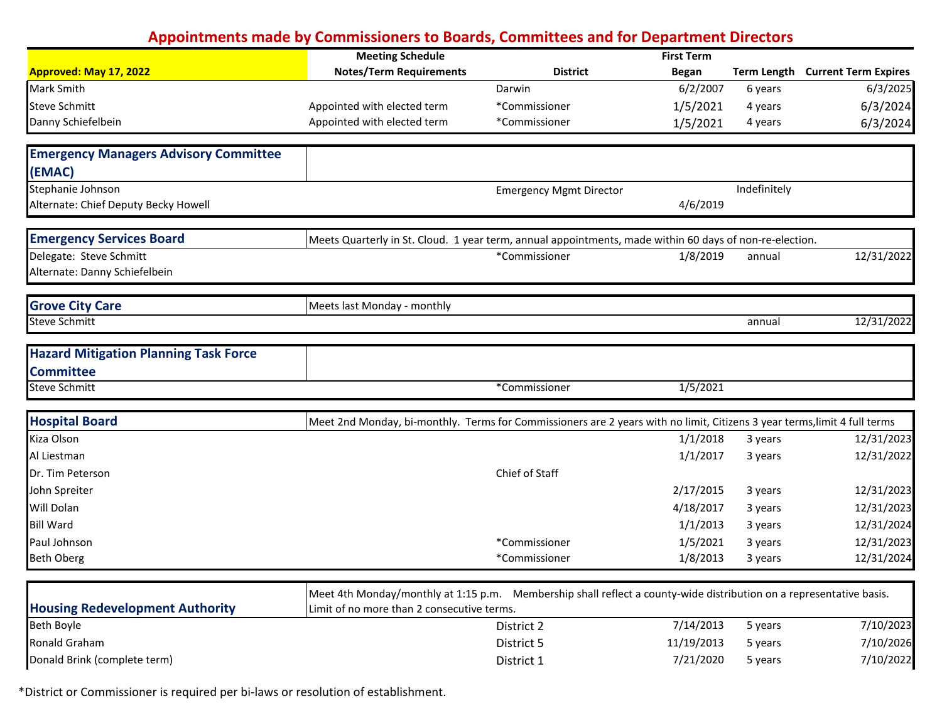|                                              | <b>Meeting Schedule</b>                                                                                                   |                                | <b>First Term</b> |              |                                  |
|----------------------------------------------|---------------------------------------------------------------------------------------------------------------------------|--------------------------------|-------------------|--------------|----------------------------------|
| Approved: May 17, 2022                       | <b>Notes/Term Requirements</b>                                                                                            | <b>District</b>                | <b>Began</b>      |              | Term Length Current Term Expires |
| Mark Smith                                   |                                                                                                                           | Darwin                         | 6/2/2007          | 6 years      | 6/3/2025                         |
| <b>Steve Schmitt</b>                         | Appointed with elected term                                                                                               | *Commissioner                  | 1/5/2021          | 4 years      | 6/3/2024                         |
| Danny Schiefelbein                           | Appointed with elected term                                                                                               | *Commissioner                  | 1/5/2021          | 4 years      | 6/3/2024                         |
| <b>Emergency Managers Advisory Committee</b> |                                                                                                                           |                                |                   |              |                                  |
| (EMAC)                                       |                                                                                                                           |                                |                   |              |                                  |
| Stephanie Johnson                            |                                                                                                                           | <b>Emergency Mgmt Director</b> |                   | Indefinitely |                                  |
| Alternate: Chief Deputy Becky Howell         |                                                                                                                           |                                | 4/6/2019          |              |                                  |
| <b>Emergency Services Board</b>              | Meets Quarterly in St. Cloud. 1 year term, annual appointments, made within 60 days of non-re-election.                   |                                |                   |              |                                  |
| Delegate: Steve Schmitt                      |                                                                                                                           | *Commissioner                  | 1/8/2019          | annual       | 12/31/2022                       |
| Alternate: Danny Schiefelbein                |                                                                                                                           |                                |                   |              |                                  |
| <b>Grove City Care</b>                       | Meets last Monday - monthly                                                                                               |                                |                   |              |                                  |
| <b>Steve Schmitt</b>                         |                                                                                                                           |                                |                   | annual       | 12/31/2022                       |
| <b>Hazard Mitigation Planning Task Force</b> |                                                                                                                           |                                |                   |              |                                  |
| <b>Committee</b>                             |                                                                                                                           |                                |                   |              |                                  |
| <b>Steve Schmitt</b>                         |                                                                                                                           | *Commissioner                  | 1/5/2021          |              |                                  |
| <b>Hospital Board</b>                        | Meet 2nd Monday, bi-monthly. Terms for Commissioners are 2 years with no limit, Citizens 3 year terms, limit 4 full terms |                                |                   |              |                                  |
| Kiza Olson                                   |                                                                                                                           |                                | 1/1/2018          | 3 years      | 12/31/2023                       |
| Al Liestman                                  |                                                                                                                           |                                | 1/1/2017          | 3 years      | 12/31/2022                       |
| Dr. Tim Peterson                             |                                                                                                                           | Chief of Staff                 |                   |              |                                  |
| John Spreiter                                |                                                                                                                           |                                | 2/17/2015         | 3 years      | 12/31/2023                       |
| Will Dolan                                   |                                                                                                                           |                                | 4/18/2017         | 3 years      | 12/31/2023                       |
| <b>Bill Ward</b>                             |                                                                                                                           |                                | 1/1/2013          | 3 years      | 12/31/2024                       |
| Paul Johnson                                 |                                                                                                                           | *Commissioner                  | 1/5/2021          | 3 years      | 12/31/2023                       |
| <b>Beth Oberg</b>                            |                                                                                                                           | *Commissioner                  | 1/8/2013          | 3 years      | 12/31/2024                       |
|                                              | Meet 4th Monday/monthly at 1:15 p.m. Membership shall reflect a county-wide distribution on a representative basis.       |                                |                   |              |                                  |
| <b>Housing Redevelopment Authority</b>       | Limit of no more than 2 consecutive terms.                                                                                |                                |                   |              |                                  |
| Beth Boyle                                   |                                                                                                                           | District 2                     | 7/14/2013         | 5 years      | 7/10/2023                        |
| Ronald Graham                                |                                                                                                                           | District 5                     | 11/19/2013        | 5 years      | 7/10/2026                        |
| Donald Brink (complete term)                 |                                                                                                                           | District 1                     | 7/21/2020         | 5 years      | 7/10/2022                        |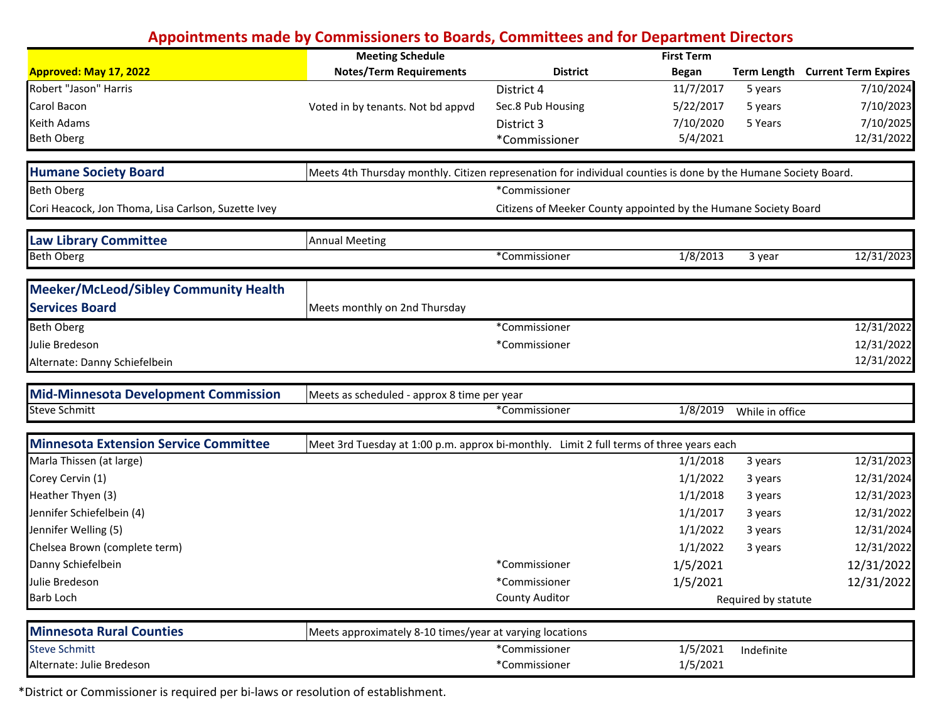|                                                     | <b>Meeting Schedule</b>                                                                                        |                                                                 | <b>First Term</b> |                     |                                  |
|-----------------------------------------------------|----------------------------------------------------------------------------------------------------------------|-----------------------------------------------------------------|-------------------|---------------------|----------------------------------|
| <b>Approved: May 17, 2022</b>                       | <b>Notes/Term Requirements</b>                                                                                 | <b>District</b>                                                 | <b>Began</b>      |                     | Term Length Current Term Expires |
| Robert "Jason" Harris                               |                                                                                                                | District 4                                                      | 11/7/2017         | 5 years             | 7/10/2024                        |
| Carol Bacon                                         | Voted in by tenants. Not bd appvd                                                                              | Sec.8 Pub Housing                                               | 5/22/2017         | 5 years             | 7/10/2023                        |
| <b>Keith Adams</b>                                  |                                                                                                                | District 3                                                      | 7/10/2020         | 5 Years             | 7/10/2025                        |
| <b>Beth Oberg</b>                                   |                                                                                                                | *Commissioner                                                   | 5/4/2021          |                     | 12/31/2022                       |
| <b>Humane Society Board</b>                         | Meets 4th Thursday monthly. Citizen represenation for individual counties is done by the Humane Society Board. |                                                                 |                   |                     |                                  |
| <b>Beth Oberg</b>                                   |                                                                                                                | *Commissioner                                                   |                   |                     |                                  |
| Cori Heacock, Jon Thoma, Lisa Carlson, Suzette Ivey |                                                                                                                | Citizens of Meeker County appointed by the Humane Society Board |                   |                     |                                  |
| <b>Law Library Committee</b>                        | <b>Annual Meeting</b>                                                                                          |                                                                 |                   |                     |                                  |
| <b>Beth Oberg</b>                                   |                                                                                                                | *Commissioner                                                   | 1/8/2013          | 3 year              | 12/31/2023                       |
| <b>Meeker/McLeod/Sibley Community Health</b>        |                                                                                                                |                                                                 |                   |                     |                                  |
| <b>Services Board</b>                               | Meets monthly on 2nd Thursday                                                                                  |                                                                 |                   |                     |                                  |
| <b>Beth Oberg</b>                                   |                                                                                                                | *Commissioner                                                   |                   |                     | 12/31/2022                       |
| Julie Bredeson                                      |                                                                                                                | *Commissioner                                                   |                   |                     | 12/31/2022                       |
| Alternate: Danny Schiefelbein                       |                                                                                                                |                                                                 |                   |                     | 12/31/2022                       |
| <b>Mid-Minnesota Development Commission</b>         | Meets as scheduled - approx 8 time per year                                                                    |                                                                 |                   |                     |                                  |
| <b>Steve Schmitt</b>                                |                                                                                                                | *Commissioner                                                   | 1/8/2019          | While in office     |                                  |
| <b>Minnesota Extension Service Committee</b>        | Meet 3rd Tuesday at 1:00 p.m. approx bi-monthly. Limit 2 full terms of three years each                        |                                                                 |                   |                     |                                  |
| Marla Thissen (at large)                            |                                                                                                                |                                                                 | 1/1/2018          | 3 years             | 12/31/2023                       |
| Corey Cervin (1)                                    |                                                                                                                |                                                                 | 1/1/2022          | 3 years             | 12/31/2024                       |
| Heather Thyen (3)                                   |                                                                                                                |                                                                 | 1/1/2018          | 3 years             | 12/31/2023                       |
| Jennifer Schiefelbein (4)                           |                                                                                                                |                                                                 | 1/1/2017          | 3 years             | 12/31/2022                       |
| Jennifer Welling (5)                                |                                                                                                                |                                                                 | 1/1/2022          | 3 years             | 12/31/2024                       |
| Chelsea Brown (complete term)                       |                                                                                                                |                                                                 | 1/1/2022          | 3 years             | 12/31/2022                       |
| Danny Schiefelbein                                  |                                                                                                                | *Commissioner                                                   | 1/5/2021          |                     | 12/31/2022                       |
| Julie Bredeson                                      |                                                                                                                | *Commissioner                                                   | 1/5/2021          |                     | 12/31/2022                       |
| Barb Loch                                           |                                                                                                                | <b>County Auditor</b>                                           |                   | Required by statute |                                  |
| <b>Minnesota Rural Counties</b>                     | Meets approximately 8-10 times/year at varying locations                                                       |                                                                 |                   |                     |                                  |
| <b>Steve Schmitt</b>                                |                                                                                                                | *Commissioner                                                   | 1/5/2021          | Indefinite          |                                  |
| Alternate: Julie Bredeson                           |                                                                                                                | *Commissioner                                                   | 1/5/2021          |                     |                                  |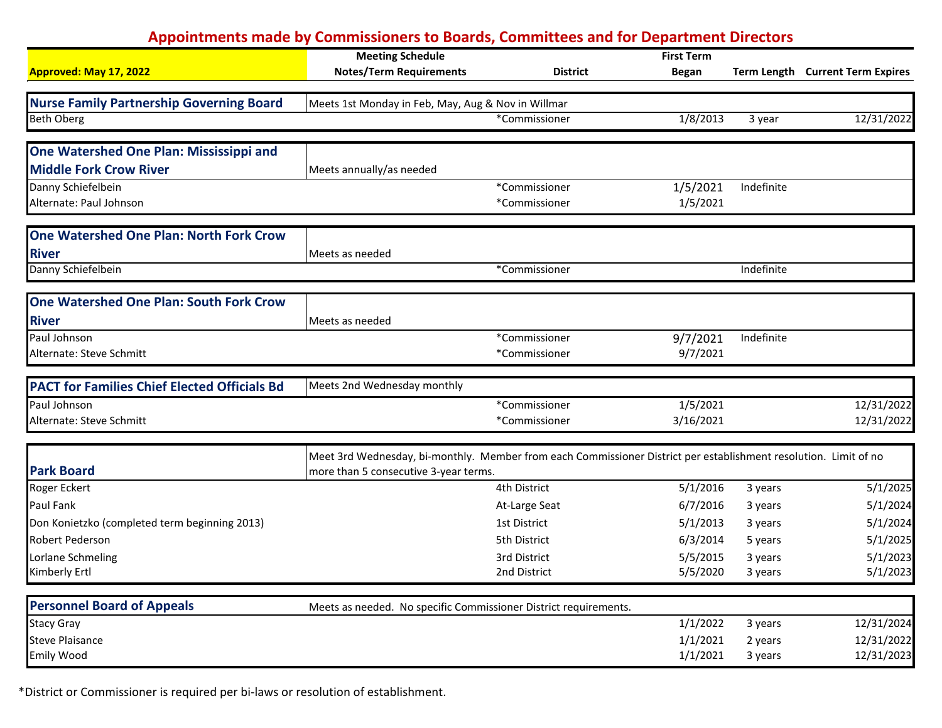|                                                     | <b>Meeting Schedule</b>                                                                                          |                 | <b>First Term</b> |            |                                  |
|-----------------------------------------------------|------------------------------------------------------------------------------------------------------------------|-----------------|-------------------|------------|----------------------------------|
| <b>Approved: May 17, 2022</b>                       | <b>Notes/Term Requirements</b>                                                                                   | <b>District</b> | <b>Began</b>      |            | Term Length Current Term Expires |
|                                                     |                                                                                                                  |                 |                   |            |                                  |
| <b>Nurse Family Partnership Governing Board</b>     | Meets 1st Monday in Feb, May, Aug & Nov in Willmar                                                               |                 |                   |            |                                  |
| <b>Beth Oberg</b>                                   |                                                                                                                  | *Commissioner   | 1/8/2013          | 3 year     | 12/31/2022                       |
| One Watershed One Plan: Mississippi and             |                                                                                                                  |                 |                   |            |                                  |
| <b>Middle Fork Crow River</b>                       | Meets annually/as needed                                                                                         |                 |                   |            |                                  |
| Danny Schiefelbein                                  |                                                                                                                  | *Commissioner   | 1/5/2021          | Indefinite |                                  |
| Alternate: Paul Johnson                             |                                                                                                                  | *Commissioner   | 1/5/2021          |            |                                  |
|                                                     |                                                                                                                  |                 |                   |            |                                  |
| <b>One Watershed One Plan: North Fork Crow</b>      |                                                                                                                  |                 |                   |            |                                  |
| <b>River</b>                                        | Meets as needed                                                                                                  |                 |                   |            |                                  |
| Danny Schiefelbein                                  |                                                                                                                  | *Commissioner   |                   | Indefinite |                                  |
|                                                     |                                                                                                                  |                 |                   |            |                                  |
| <b>One Watershed One Plan: South Fork Crow</b>      |                                                                                                                  |                 |                   |            |                                  |
| <b>River</b>                                        | Meets as needed                                                                                                  |                 |                   |            |                                  |
| Paul Johnson                                        |                                                                                                                  | *Commissioner   | 9/7/2021          | Indefinite |                                  |
| Alternate: Steve Schmitt                            |                                                                                                                  | *Commissioner   | 9/7/2021          |            |                                  |
| <b>PACT for Families Chief Elected Officials Bd</b> | Meets 2nd Wednesday monthly                                                                                      |                 |                   |            |                                  |
| Paul Johnson                                        |                                                                                                                  | *Commissioner   | 1/5/2021          |            | 12/31/2022                       |
| Alternate: Steve Schmitt                            |                                                                                                                  | *Commissioner   | 3/16/2021         |            | 12/31/2022                       |
|                                                     | Meet 3rd Wednesday, bi-monthly. Member from each Commissioner District per establishment resolution. Limit of no |                 |                   |            |                                  |
| <b>Park Board</b>                                   | more than 5 consecutive 3-year terms.                                                                            |                 |                   |            |                                  |
| Roger Eckert                                        |                                                                                                                  | 4th District    | 5/1/2016          | 3 years    | 5/1/2025                         |
| <b>Paul Fank</b>                                    |                                                                                                                  | At-Large Seat   | 6/7/2016          | 3 years    | 5/1/2024                         |
| Don Konietzko (completed term beginning 2013)       |                                                                                                                  | 1st District    | 5/1/2013          | 3 years    | 5/1/2024                         |
| <b>Robert Pederson</b>                              |                                                                                                                  | 5th District    | 6/3/2014          | 5 years    | 5/1/2025                         |
| Lorlane Schmeling                                   |                                                                                                                  | 3rd District    | 5/5/2015          | 3 years    | 5/1/2023                         |
| Kimberly Ertl                                       |                                                                                                                  | 2nd District    | 5/5/2020          | 3 years    | 5/1/2023                         |
| <b>Personnel Board of Appeals</b>                   |                                                                                                                  |                 |                   |            |                                  |
|                                                     | Meets as needed. No specific Commissioner District requirements.                                                 |                 |                   |            |                                  |
| <b>Stacy Gray</b>                                   |                                                                                                                  |                 | 1/1/2022          | 3 years    | 12/31/2024                       |
| <b>Steve Plaisance</b>                              |                                                                                                                  |                 | 1/1/2021          | 2 years    | 12/31/2022                       |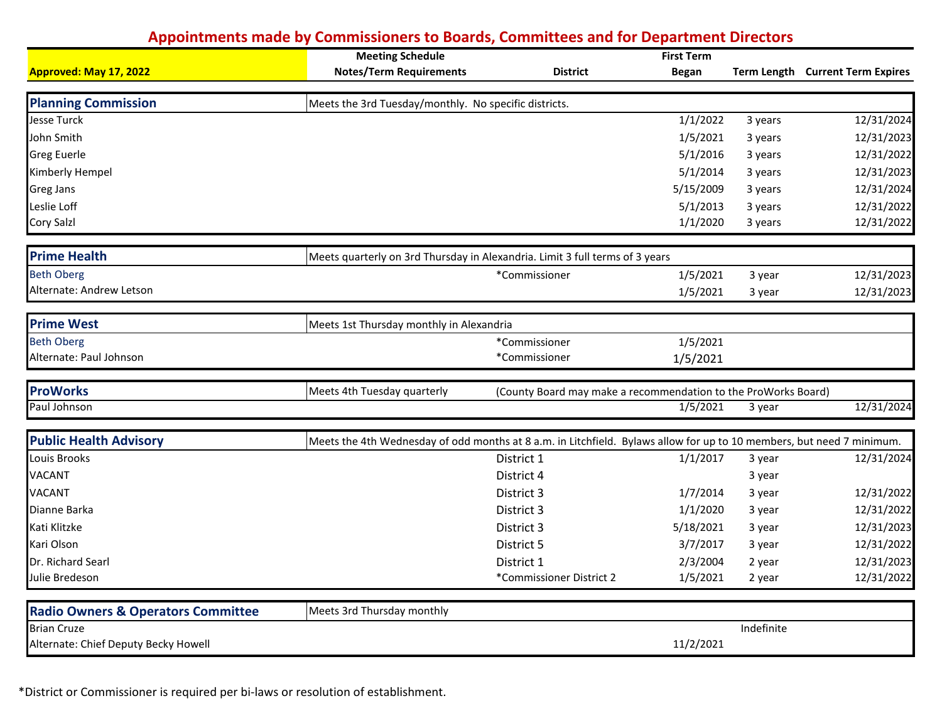|                                               | <b>Meeting Schedule</b>                                                                                               |                                                                | <b>First Term</b> |            |                                  |
|-----------------------------------------------|-----------------------------------------------------------------------------------------------------------------------|----------------------------------------------------------------|-------------------|------------|----------------------------------|
| <b>Approved: May 17, 2022</b>                 | <b>Notes/Term Requirements</b>                                                                                        | <b>District</b>                                                | <b>Began</b>      |            | Term Length Current Term Expires |
|                                               |                                                                                                                       |                                                                |                   |            |                                  |
| <b>Planning Commission</b>                    | Meets the 3rd Tuesday/monthly. No specific districts.                                                                 |                                                                |                   |            |                                  |
| <b>Jesse Turck</b>                            |                                                                                                                       |                                                                | 1/1/2022          | 3 years    | 12/31/2024                       |
| John Smith                                    |                                                                                                                       |                                                                | 1/5/2021          | 3 years    | 12/31/2023                       |
| Greg Euerle                                   |                                                                                                                       |                                                                | 5/1/2016          | 3 years    | 12/31/2022                       |
| Kimberly Hempel                               |                                                                                                                       |                                                                | 5/1/2014          | 3 years    | 12/31/2023                       |
| Greg Jans                                     |                                                                                                                       |                                                                | 5/15/2009         | 3 years    | 12/31/2024                       |
| Leslie Loff                                   |                                                                                                                       |                                                                | 5/1/2013          | 3 years    | 12/31/2022                       |
| Cory Salzl                                    |                                                                                                                       |                                                                | 1/1/2020          | 3 years    | 12/31/2022                       |
| <b>Prime Health</b>                           | Meets quarterly on 3rd Thursday in Alexandria. Limit 3 full terms of 3 years                                          |                                                                |                   |            |                                  |
| <b>Beth Oberg</b>                             |                                                                                                                       | *Commissioner                                                  | 1/5/2021          | 3 year     | 12/31/2023                       |
| Alternate: Andrew Letson                      |                                                                                                                       |                                                                | 1/5/2021          | 3 year     | 12/31/2023                       |
| <b>Prime West</b>                             | Meets 1st Thursday monthly in Alexandria                                                                              |                                                                |                   |            |                                  |
| <b>Beth Oberg</b>                             |                                                                                                                       | *Commissioner                                                  | 1/5/2021          |            |                                  |
| Alternate: Paul Johnson                       |                                                                                                                       | *Commissioner                                                  | 1/5/2021          |            |                                  |
| <b>ProWorks</b>                               | Meets 4th Tuesday quarterly                                                                                           | (County Board may make a recommendation to the ProWorks Board) |                   |            |                                  |
| Paul Johnson                                  |                                                                                                                       |                                                                | 1/5/2021          | 3 year     | 12/31/2024                       |
| <b>Public Health Advisory</b>                 | Meets the 4th Wednesday of odd months at 8 a.m. in Litchfield. Bylaws allow for up to 10 members, but need 7 minimum. |                                                                |                   |            |                                  |
| Louis Brooks                                  |                                                                                                                       | District 1                                                     | 1/1/2017          | 3 year     | 12/31/2024                       |
| <b>VACANT</b>                                 |                                                                                                                       | District 4                                                     |                   | 3 year     |                                  |
| <b>VACANT</b>                                 |                                                                                                                       | District 3                                                     | 1/7/2014          | 3 year     | 12/31/2022                       |
| Dianne Barka                                  |                                                                                                                       | District 3                                                     | 1/1/2020          | 3 year     | 12/31/2022                       |
| Kati Klitzke                                  |                                                                                                                       | District 3                                                     | 5/18/2021         | 3 year     | 12/31/2023                       |
| Kari Olson                                    |                                                                                                                       | District 5                                                     | 3/7/2017          | 3 year     | 12/31/2022                       |
| Dr. Richard Searl                             |                                                                                                                       | District 1                                                     | 2/3/2004          | 2 year     | 12/31/2023                       |
| Julie Bredeson                                |                                                                                                                       | *Commissioner District 2                                       | 1/5/2021          | 2 year     | 12/31/2022                       |
| <b>Radio Owners &amp; Operators Committee</b> | Meets 3rd Thursday monthly                                                                                            |                                                                |                   |            |                                  |
| <b>Brian Cruze</b>                            |                                                                                                                       |                                                                |                   | Indefinite |                                  |
| Alternate: Chief Deputy Becky Howell          |                                                                                                                       |                                                                | 11/2/2021         |            |                                  |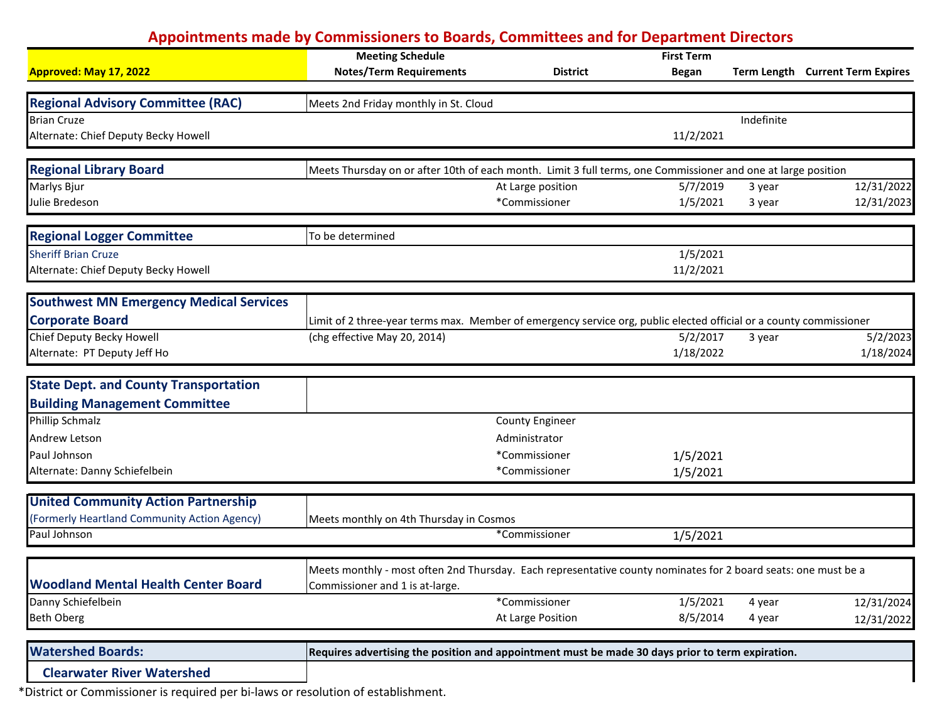|                                                | <b>Meeting Schedule</b>                                                                                            |                        | <b>First Term</b> |            |                                  |
|------------------------------------------------|--------------------------------------------------------------------------------------------------------------------|------------------------|-------------------|------------|----------------------------------|
| Approved: May 17, 2022                         | <b>Notes/Term Requirements</b>                                                                                     | <b>District</b>        | <b>Began</b>      |            | Term Length Current Term Expires |
|                                                |                                                                                                                    |                        |                   |            |                                  |
| <b>Regional Advisory Committee (RAC)</b>       | Meets 2nd Friday monthly in St. Cloud                                                                              |                        |                   |            |                                  |
| <b>Brian Cruze</b>                             |                                                                                                                    |                        |                   | Indefinite |                                  |
| Alternate: Chief Deputy Becky Howell           |                                                                                                                    |                        | 11/2/2021         |            |                                  |
| <b>Regional Library Board</b>                  | Meets Thursday on or after 10th of each month. Limit 3 full terms, one Commissioner and one at large position      |                        |                   |            |                                  |
| Marlys Bjur                                    |                                                                                                                    | At Large position      | 5/7/2019          | 3 year     | 12/31/2022                       |
| Julie Bredeson                                 |                                                                                                                    | *Commissioner          | 1/5/2021          | 3 year     | 12/31/2023                       |
| <b>Regional Logger Committee</b>               | To be determined                                                                                                   |                        |                   |            |                                  |
| <b>Sheriff Brian Cruze</b>                     |                                                                                                                    |                        | 1/5/2021          |            |                                  |
| Alternate: Chief Deputy Becky Howell           |                                                                                                                    |                        | 11/2/2021         |            |                                  |
| <b>Southwest MN Emergency Medical Services</b> |                                                                                                                    |                        |                   |            |                                  |
| <b>Corporate Board</b>                         | Limit of 2 three-year terms max. Member of emergency service org, public elected official or a county commissioner |                        |                   |            |                                  |
| Chief Deputy Becky Howell                      | (chg effective May 20, 2014)                                                                                       |                        | 5/2/2017          | 3 year     | 5/2/2023                         |
| Alternate: PT Deputy Jeff Ho                   |                                                                                                                    |                        | 1/18/2022         |            | 1/18/2024                        |
| <b>State Dept. and County Transportation</b>   |                                                                                                                    |                        |                   |            |                                  |
| <b>Building Management Committee</b>           |                                                                                                                    |                        |                   |            |                                  |
| Phillip Schmalz                                |                                                                                                                    | <b>County Engineer</b> |                   |            |                                  |
| Andrew Letson                                  |                                                                                                                    | Administrator          |                   |            |                                  |
| Paul Johnson                                   |                                                                                                                    | *Commissioner          | 1/5/2021          |            |                                  |
| Alternate: Danny Schiefelbein                  |                                                                                                                    | *Commissioner          | 1/5/2021          |            |                                  |
| <b>United Community Action Partnership</b>     |                                                                                                                    |                        |                   |            |                                  |
| (Formerly Heartland Community Action Agency)   | Meets monthly on 4th Thursday in Cosmos                                                                            |                        |                   |            |                                  |
| Paul Johnson                                   |                                                                                                                    | *Commissioner          | 1/5/2021          |            |                                  |
|                                                | Meets monthly - most often 2nd Thursday. Each representative county nominates for 2 board seats: one must be a     |                        |                   |            |                                  |
| <b>Woodland Mental Health Center Board</b>     | Commissioner and 1 is at-large.                                                                                    |                        |                   |            |                                  |
| Danny Schiefelbein                             |                                                                                                                    | *Commissioner          | 1/5/2021          | 4 year     | 12/31/2024                       |
| Beth Oberg                                     |                                                                                                                    | At Large Position      | 8/5/2014          | 4 year     | 12/31/2022                       |
|                                                |                                                                                                                    |                        |                   |            |                                  |
| <b>Watershed Boards:</b>                       | Requires advertising the position and appointment must be made 30 days prior to term expiration.                   |                        |                   |            |                                  |